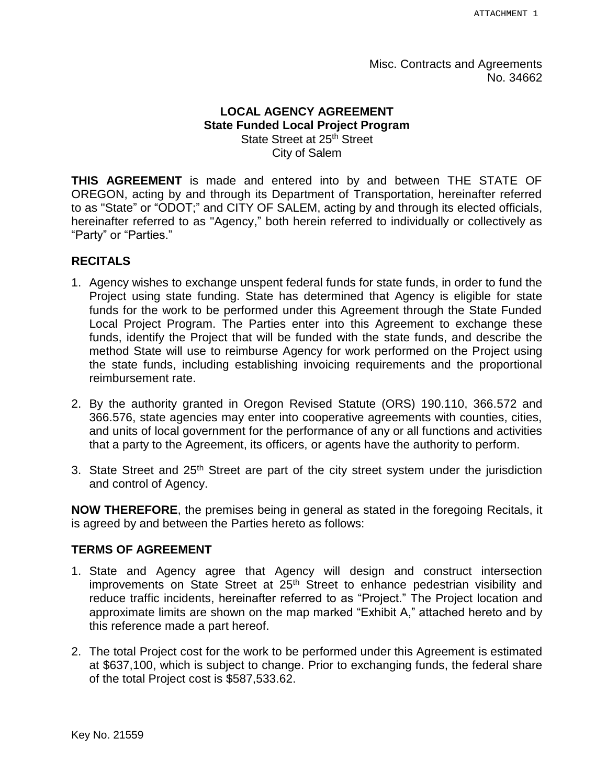Misc. Contracts and Agreements No. 34662

### **LOCAL AGENCY AGREEMENT State Funded Local Project Program** State Street at 25<sup>th</sup> Street City of Salem

**THIS AGREEMENT** is made and entered into by and between THE STATE OF OREGON, acting by and through its Department of Transportation, hereinafter referred to as "State" or "ODOT;" and CITY OF SALEM, acting by and through its elected officials, hereinafter referred to as "Agency," both herein referred to individually or collectively as "Party" or "Parties."

#### **RECITALS**

- 1. Agency wishes to exchange unspent federal funds for state funds, in order to fund the Project using state funding. State has determined that Agency is eligible for state funds for the work to be performed under this Agreement through the State Funded Local Project Program. The Parties enter into this Agreement to exchange these funds, identify the Project that will be funded with the state funds, and describe the method State will use to reimburse Agency for work performed on the Project using the state funds, including establishing invoicing requirements and the proportional reimbursement rate.
- 2. By the authority granted in Oregon Revised Statute (ORS) 190.110, 366.572 and 366.576, state agencies may enter into cooperative agreements with counties, cities, and units of local government for the performance of any or all functions and activities that a party to the Agreement, its officers, or agents have the authority to perform.
- 3. State Street and  $25<sup>th</sup>$  Street are part of the city street system under the jurisdiction and control of Agency.

**NOW THEREFORE**, the premises being in general as stated in the foregoing Recitals, it is agreed by and between the Parties hereto as follows:

#### **TERMS OF AGREEMENT**

- 1. State and Agency agree that Agency will design and construct intersection improvements on State Street at  $25<sup>th</sup>$  Street to enhance pedestrian visibility and reduce traffic incidents, hereinafter referred to as "Project." The Project location and approximate limits are shown on the map marked "Exhibit A," attached hereto and by this reference made a part hereof.
- 2. The total Project cost for the work to be performed under this Agreement is estimated at \$637,100, which is subject to change. Prior to exchanging funds, the federal share of the total Project cost is \$587,533.62.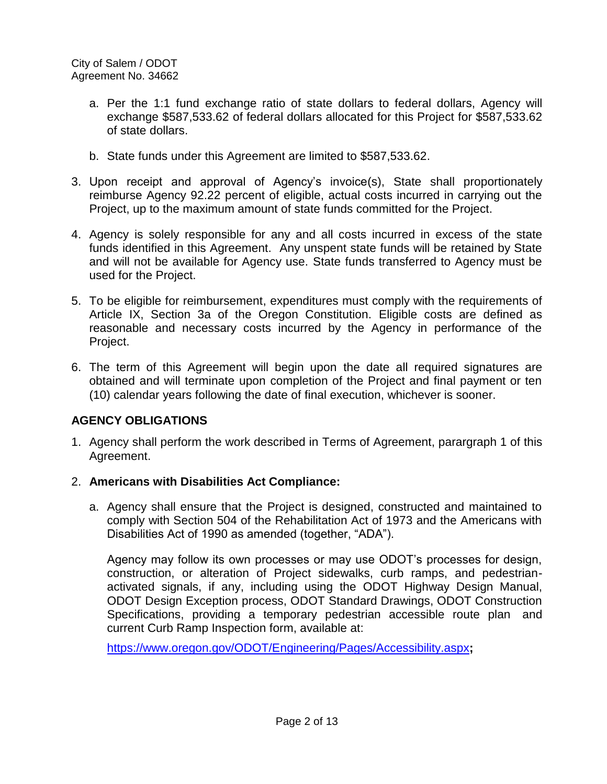- a. Per the 1:1 fund exchange ratio of state dollars to federal dollars, Agency will exchange \$587,533.62 of federal dollars allocated for this Project for \$587,533.62 of state dollars.
- b. State funds under this Agreement are limited to \$587,533.62.
- 3. Upon receipt and approval of Agency's invoice(s), State shall proportionately reimburse Agency 92.22 percent of eligible, actual costs incurred in carrying out the Project, up to the maximum amount of state funds committed for the Project.
- 4. Agency is solely responsible for any and all costs incurred in excess of the state funds identified in this Agreement. Any unspent state funds will be retained by State and will not be available for Agency use. State funds transferred to Agency must be used for the Project.
- 5. To be eligible for reimbursement, expenditures must comply with the requirements of Article IX, Section 3a of the Oregon Constitution. Eligible costs are defined as reasonable and necessary costs incurred by the Agency in performance of the Project.
- 6. The term of this Agreement will begin upon the date all required signatures are obtained and will terminate upon completion of the Project and final payment or ten (10) calendar years following the date of final execution, whichever is sooner.

## **AGENCY OBLIGATIONS**

- 1. Agency shall perform the work described in Terms of Agreement, parargraph 1 of this Agreement.
- 2. **Americans with Disabilities Act Compliance:**
	- a. Agency shall ensure that the Project is designed, constructed and maintained to comply with Section 504 of the Rehabilitation Act of 1973 and the Americans with Disabilities Act of 1990 as amended (together, "ADA").

Agency may follow its own processes or may use ODOT's processes for design, construction, or alteration of Project sidewalks, curb ramps, and pedestrianactivated signals, if any, including using the ODOT Highway Design Manual, ODOT Design Exception process, ODOT Standard Drawings, ODOT Construction Specifications, providing a temporary pedestrian accessible route plan and current Curb Ramp Inspection form, available at:

https://www.oregon.gov/ODOT/Engineering/Pages/Accessibility.aspx**;**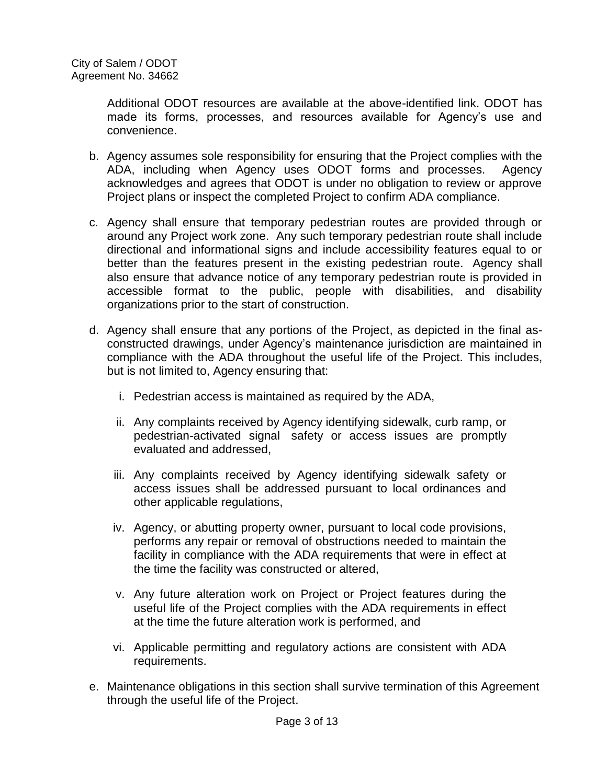Additional ODOT resources are available at the above-identified link. ODOT has made its forms, processes, and resources available for Agency's use and convenience.

- b. Agency assumes sole responsibility for ensuring that the Project complies with the ADA, including when Agency uses ODOT forms and processes. Agency acknowledges and agrees that ODOT is under no obligation to review or approve Project plans or inspect the completed Project to confirm ADA compliance.
- c. Agency shall ensure that temporary pedestrian routes are provided through or around any Project work zone. Any such temporary pedestrian route shall include directional and informational signs and include accessibility features equal to or better than the features present in the existing pedestrian route. Agency shall also ensure that advance notice of any temporary pedestrian route is provided in accessible format to the public, people with disabilities, and disability organizations prior to the start of construction.
- d. Agency shall ensure that any portions of the Project, as depicted in the final asconstructed drawings, under Agency's maintenance jurisdiction are maintained in compliance with the ADA throughout the useful life of the Project. This includes, but is not limited to, Agency ensuring that:
	- i. Pedestrian access is maintained as required by the ADA,
	- ii. Any complaints received by Agency identifying sidewalk, curb ramp, or pedestrian-activated signal safety or access issues are promptly evaluated and addressed,
	- iii. Any complaints received by Agency identifying sidewalk safety or access issues shall be addressed pursuant to local ordinances and other applicable regulations,
	- iv. Agency, or abutting property owner, pursuant to local code provisions, performs any repair or removal of obstructions needed to maintain the facility in compliance with the ADA requirements that were in effect at the time the facility was constructed or altered,
	- v. Any future alteration work on Project or Project features during the useful life of the Project complies with the ADA requirements in effect at the time the future alteration work is performed, and
	- vi. Applicable permitting and regulatory actions are consistent with ADA requirements.
- e. Maintenance obligations in this section shall survive termination of this Agreement through the useful life of the Project.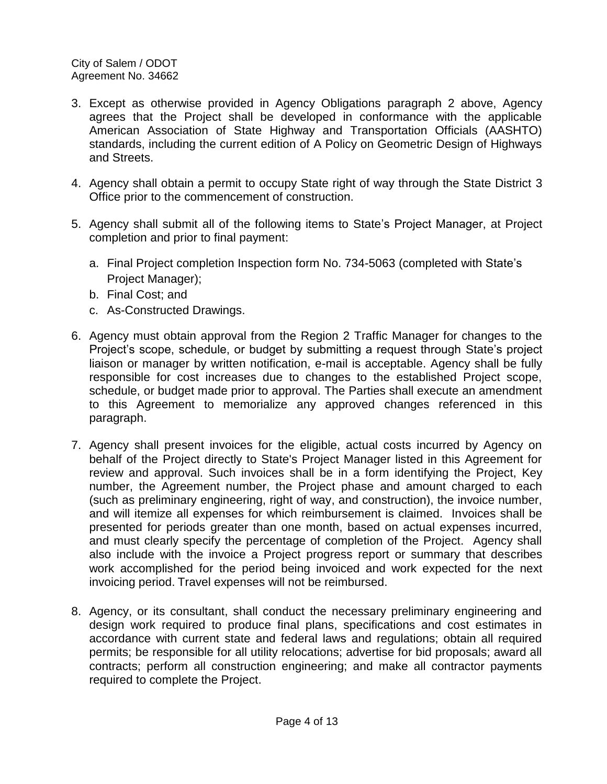- 3. Except as otherwise provided in Agency Obligations paragraph 2 above, Agency agrees that the Project shall be developed in conformance with the applicable American Association of State Highway and Transportation Officials (AASHTO) standards, including the current edition of A Policy on Geometric Design of Highways and Streets.
- 4. Agency shall obtain a permit to occupy State right of way through the State District 3 Office prior to the commencement of construction.
- 5. Agency shall submit all of the following items to State's Project Manager, at Project completion and prior to final payment:
	- a. Final Project completion Inspection form No. 734-5063 (completed with State's Project Manager);
	- b. Final Cost; and
	- c. As-Constructed Drawings.
- 6. Agency must obtain approval from the Region 2 Traffic Manager for changes to the Project's scope, schedule, or budget by submitting a request through State's project liaison or manager by written notification, e-mail is acceptable. Agency shall be fully responsible for cost increases due to changes to the established Project scope, schedule, or budget made prior to approval. The Parties shall execute an amendment to this Agreement to memorialize any approved changes referenced in this paragraph.
- 7. Agency shall present invoices for the eligible, actual costs incurred by Agency on behalf of the Project directly to State's Project Manager listed in this Agreement for review and approval. Such invoices shall be in a form identifying the Project, Key number, the Agreement number, the Project phase and amount charged to each (such as preliminary engineering, right of way, and construction), the invoice number, and will itemize all expenses for which reimbursement is claimed. Invoices shall be presented for periods greater than one month, based on actual expenses incurred, and must clearly specify the percentage of completion of the Project. Agency shall also include with the invoice a Project progress report or summary that describes work accomplished for the period being invoiced and work expected for the next invoicing period. Travel expenses will not be reimbursed.
- 8. Agency, or its consultant, shall conduct the necessary preliminary engineering and design work required to produce final plans, specifications and cost estimates in accordance with current state and federal laws and regulations; obtain all required permits; be responsible for all utility relocations; advertise for bid proposals; award all contracts; perform all construction engineering; and make all contractor payments required to complete the Project.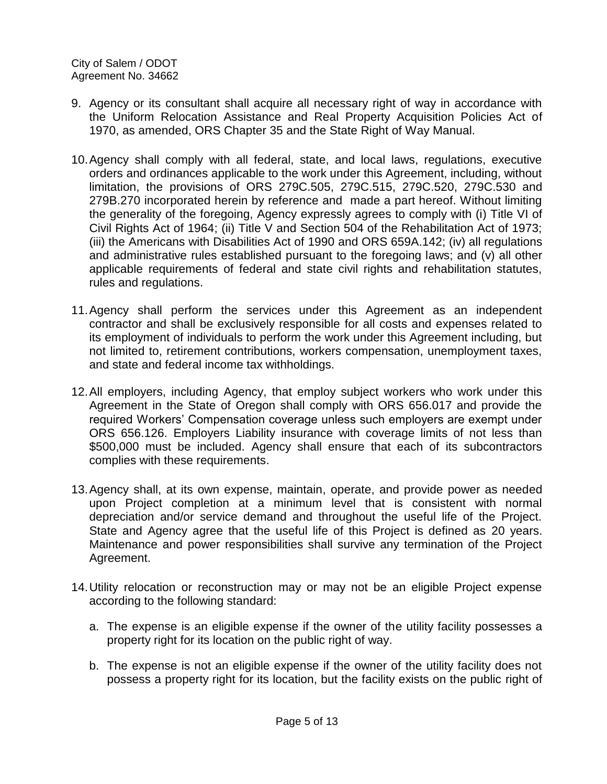- 9. Agency or its consultant shall acquire all necessary right of way in accordance with the Uniform Relocation Assistance and Real Property Acquisition Policies Act of 1970, as amended, ORS Chapter 35 and the State Right of Way Manual.
- 10.Agency shall comply with all federal, state, and local laws, regulations, executive orders and ordinances applicable to the work under this Agreement, including, without limitation, the provisions of ORS [279C.505,](http://www.leg.state.or.us/ors/279c.html) [279C.515,](http://www.leg.state.or.us/ors/279c.html) [279C.520,](http://www.leg.state.or.us/ors/279c.html) [279C.530](http://www.leg.state.or.us/ors/279c.html) and [279B.270](http://landru.leg.state.or.us/ors/279b.html) incorporated herein by reference and made a part hereof. Without limiting the generality of the foregoing, Agency expressly agrees to comply with (i) [Title VI of](http://www.usdoj.gov/crt/cor/coord/titlevistat.htm)  [Civil Rights Act of 1964;](http://www.usdoj.gov/crt/cor/coord/titlevistat.htm) (ii) [Title V and Section 504 of the Rehabilitation Act of 1973;](http://academic.wsc.edu/frc/disable.html) (iii) the [Americans with Disabilities Act of 1990](http://www.dol.gov/esa/regs/statutes/ofccp/ada.htm) and ORS [659A.142;](http://landru.leg.state.or.us/ors/659a.html) (iv) all regulations and administrative rules established pursuant to the foregoing laws; and (v) all other applicable requirements of federal and state civil rights and rehabilitation statutes, rules and regulations.
- 11.Agency shall perform the services under this Agreement as an independent contractor and shall be exclusively responsible for all costs and expenses related to its employment of individuals to perform the work under this Agreement including, but not limited to, retirement contributions, workers compensation, unemployment taxes, and state and federal income tax withholdings.
- 12.All employers, including Agency, that employ subject workers who work under this Agreement in the State of Oregon shall comply with ORS 656.017 and provide the required Workers' Compensation coverage unless such employers are exempt under ORS 656.126. Employers Liability insurance with coverage limits of not less than \$500,000 must be included. Agency shall ensure that each of its subcontractors complies with these requirements.
- 13.Agency shall, at its own expense, maintain, operate, and provide power as needed upon Project completion at a minimum level that is consistent with normal depreciation and/or service demand and throughout the useful life of the Project. State and Agency agree that the useful life of this Project is defined as 20 years. Maintenance and power responsibilities shall survive any termination of the Project Agreement.
- 14.Utility relocation or reconstruction may or may not be an eligible Project expense according to the following standard:
	- a. The expense is an eligible expense if the owner of the utility facility possesses a property right for its location on the public right of way.
	- b. The expense is not an eligible expense if the owner of the utility facility does not possess a property right for its location, but the facility exists on the public right of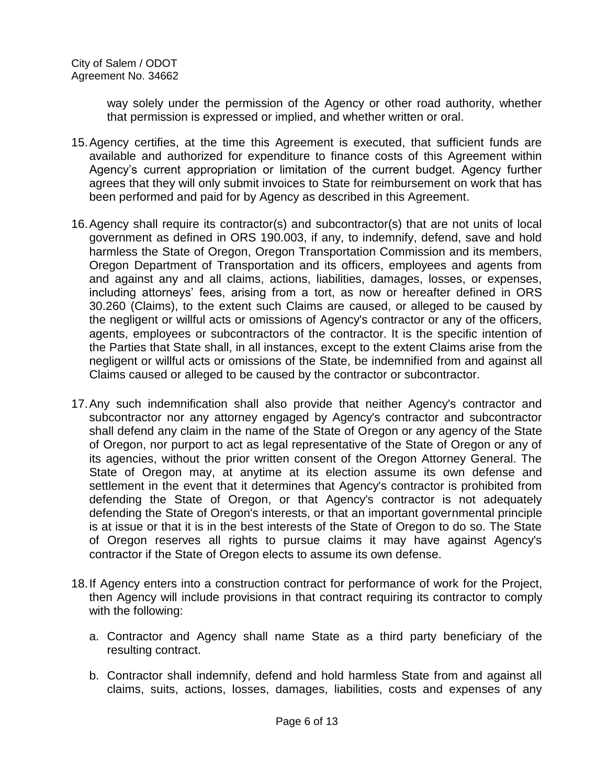way solely under the permission of the Agency or other road authority, whether that permission is expressed or implied, and whether written or oral.

- 15.Agency certifies, at the time this Agreement is executed, that sufficient funds are available and authorized for expenditure to finance costs of this Agreement within Agency's current appropriation or limitation of the current budget. Agency further agrees that they will only submit invoices to State for reimbursement on work that has been performed and paid for by Agency as described in this Agreement.
- 16.Agency shall require its contractor(s) and subcontractor(s) that are not units of local government as defined in ORS 190.003, if any, to indemnify, defend, save and hold harmless the State of Oregon, Oregon Transportation Commission and its members, Oregon Department of Transportation and its officers, employees and agents from and against any and all claims, actions, liabilities, damages, losses, or expenses, including attorneys' fees, arising from a tort, as now or hereafter defined in ORS 30.260 (Claims), to the extent such Claims are caused, or alleged to be caused by the negligent or willful acts or omissions of Agency's contractor or any of the officers, agents, employees or subcontractors of the contractor. It is the specific intention of the Parties that State shall, in all instances, except to the extent Claims arise from the negligent or willful acts or omissions of the State, be indemnified from and against all Claims caused or alleged to be caused by the contractor or subcontractor.
- 17.Any such indemnification shall also provide that neither Agency's contractor and subcontractor nor any attorney engaged by Agency's contractor and subcontractor shall defend any claim in the name of the State of Oregon or any agency of the State of Oregon, nor purport to act as legal representative of the State of Oregon or any of its agencies, without the prior written consent of the Oregon Attorney General. The State of Oregon may, at anytime at its election assume its own defense and settlement in the event that it determines that Agency's contractor is prohibited from defending the State of Oregon, or that Agency's contractor is not adequately defending the State of Oregon's interests, or that an important governmental principle is at issue or that it is in the best interests of the State of Oregon to do so. The State of Oregon reserves all rights to pursue claims it may have against Agency's contractor if the State of Oregon elects to assume its own defense.
- 18.If Agency enters into a construction contract for performance of work for the Project, then Agency will include provisions in that contract requiring its contractor to comply with the following:
	- a. Contractor and Agency shall name State as a third party beneficiary of the resulting contract.
	- b. Contractor shall indemnify, defend and hold harmless State from and against all claims, suits, actions, losses, damages, liabilities, costs and expenses of any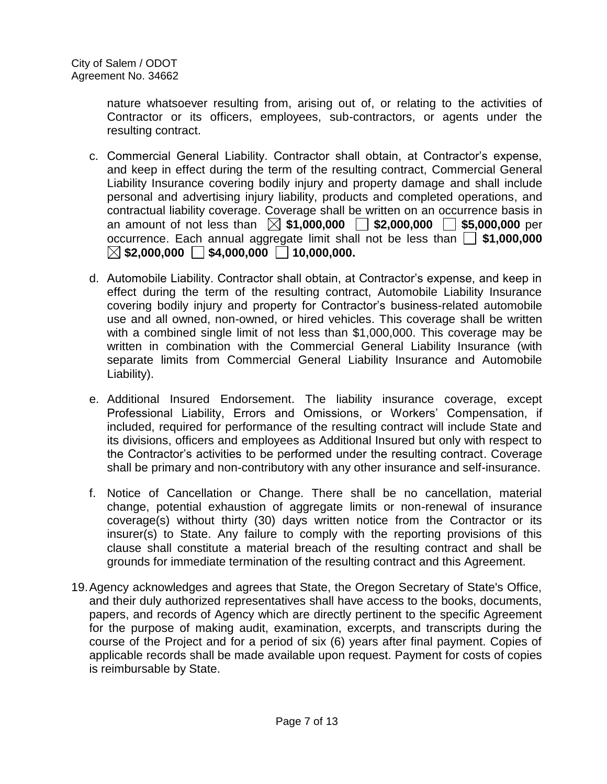nature whatsoever resulting from, arising out of, or relating to the activities of Contractor or its officers, employees, sub-contractors, or agents under the resulting contract.

- c. Commercial General Liability. Contractor shall obtain, at Contractor's expense, and keep in effect during the term of the resulting contract, Commercial General Liability Insurance covering bodily injury and property damage and shall include personal and advertising injury liability, products and completed operations, and contractual liability coverage. Coverage shall be written on an occurrence basis in an amount of not less than  $\boxtimes$  \$1,000,000  $\Box$  \$2,000,000  $\Box$  \$5,000,000 per occurrence. Each annual aggregate limit shall not be less than **\$1,000,000**   $\boxtimes$  \$2,000,000  $\Box$  \$4,000,000  $\Box$  10,000.000.
- d. Automobile Liability. Contractor shall obtain, at Contractor's expense, and keep in effect during the term of the resulting contract, Automobile Liability Insurance covering bodily injury and property for Contractor's business-related automobile use and all owned, non-owned, or hired vehicles. This coverage shall be written with a combined single limit of not less than \$1,000,000. This coverage may be written in combination with the Commercial General Liability Insurance (with separate limits from Commercial General Liability Insurance and Automobile Liability).
- e. Additional Insured Endorsement. The liability insurance coverage, except Professional Liability, Errors and Omissions, or Workers' Compensation, if included, required for performance of the resulting contract will include State and its divisions, officers and employees as Additional Insured but only with respect to the Contractor's activities to be performed under the resulting contract. Coverage shall be primary and non-contributory with any other insurance and self-insurance.
- f. Notice of Cancellation or Change. There shall be no cancellation, material change, potential exhaustion of aggregate limits or non-renewal of insurance coverage(s) without thirty (30) days written notice from the Contractor or its insurer(s) to State. Any failure to comply with the reporting provisions of this clause shall constitute a material breach of the resulting contract and shall be grounds for immediate termination of the resulting contract and this Agreement.
- 19.Agency acknowledges and agrees that State, the Oregon Secretary of State's Office, and their duly authorized representatives shall have access to the books, documents, papers, and records of Agency which are directly pertinent to the specific Agreement for the purpose of making audit, examination, excerpts, and transcripts during the course of the Project and for a period of six (6) years after final payment. Copies of applicable records shall be made available upon request. Payment for costs of copies is reimbursable by State.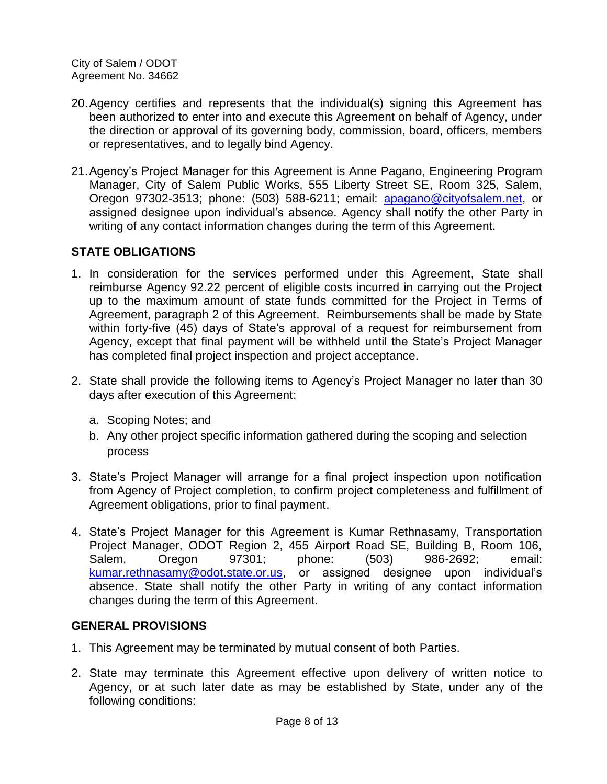- 20.Agency certifies and represents that the individual(s) signing this Agreement has been authorized to enter into and execute this Agreement on behalf of Agency, under the direction or approval of its governing body, commission, board, officers, members or representatives, and to legally bind Agency.
- 21.Agency's Project Manager for this Agreement is Anne Pagano, Engineering Program Manager, City of Salem Public Works, 555 Liberty Street SE, Room 325, Salem, Oregon 97302-3513; phone: (503) 588-6211; email: [apagano@cityofsalem.net,](mailto:apagano@cityofsalem.net) or assigned designee upon individual's absence. Agency shall notify the other Party in writing of any contact information changes during the term of this Agreement.

### **STATE OBLIGATIONS**

- 1. In consideration for the services performed under this Agreement, State shall reimburse Agency 92.22 percent of eligible costs incurred in carrying out the Project up to the maximum amount of state funds committed for the Project in Terms of Agreement, paragraph 2 of this Agreement. Reimbursements shall be made by State within forty-five (45) days of State's approval of a request for reimbursement from Agency, except that final payment will be withheld until the State's Project Manager has completed final project inspection and project acceptance.
- 2. State shall provide the following items to Agency's Project Manager no later than 30 days after execution of this Agreement:
	- a. Scoping Notes; and
	- b. Any other project specific information gathered during the scoping and selection process
- 3. State's Project Manager will arrange for a final project inspection upon notification from Agency of Project completion, to confirm project completeness and fulfillment of Agreement obligations, prior to final payment.
- 4. State's Project Manager for this Agreement is Kumar Rethnasamy, Transportation Project Manager, ODOT Region 2, 455 Airport Road SE, Building B, Room 106, Salem, Oregon 97301; phone: (503) 986-2692; email: [kumar.rethnasamy@odot.state.or.us,](mailto:kumar.rethnasamy@odot.state.or.us) or assigned designee upon individual's absence. State shall notify the other Party in writing of any contact information changes during the term of this Agreement.

#### **GENERAL PROVISIONS**

- 1. This Agreement may be terminated by mutual consent of both Parties.
- 2. State may terminate this Agreement effective upon delivery of written notice to Agency, or at such later date as may be established by State, under any of the following conditions: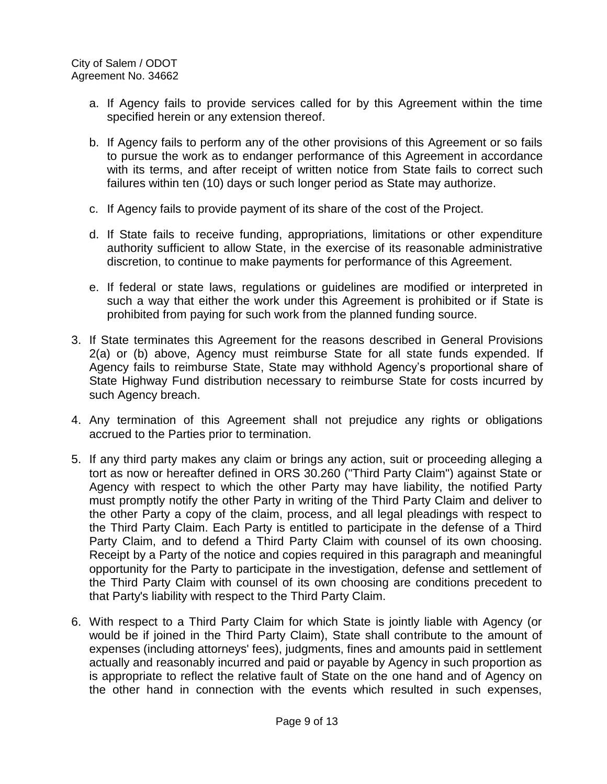- a. If Agency fails to provide services called for by this Agreement within the time specified herein or any extension thereof.
- b. If Agency fails to perform any of the other provisions of this Agreement or so fails to pursue the work as to endanger performance of this Agreement in accordance with its terms, and after receipt of written notice from State fails to correct such failures within ten (10) days or such longer period as State may authorize.
- c. If Agency fails to provide payment of its share of the cost of the Project.
- d. If State fails to receive funding, appropriations, limitations or other expenditure authority sufficient to allow State, in the exercise of its reasonable administrative discretion, to continue to make payments for performance of this Agreement.
- e. If federal or state laws, regulations or guidelines are modified or interpreted in such a way that either the work under this Agreement is prohibited or if State is prohibited from paying for such work from the planned funding source.
- 3. If State terminates this Agreement for the reasons described in General Provisions 2(a) or (b) above, Agency must reimburse State for all state funds expended. If Agency fails to reimburse State, State may withhold Agency's proportional share of State Highway Fund distribution necessary to reimburse State for costs incurred by such Agency breach.
- 4. Any termination of this Agreement shall not prejudice any rights or obligations accrued to the Parties prior to termination.
- 5. If any third party makes any claim or brings any action, suit or proceeding alleging a tort as now or hereafter defined in ORS 30.260 ("Third Party Claim") against State or Agency with respect to which the other Party may have liability, the notified Party must promptly notify the other Party in writing of the Third Party Claim and deliver to the other Party a copy of the claim, process, and all legal pleadings with respect to the Third Party Claim. Each Party is entitled to participate in the defense of a Third Party Claim, and to defend a Third Party Claim with counsel of its own choosing. Receipt by a Party of the notice and copies required in this paragraph and meaningful opportunity for the Party to participate in the investigation, defense and settlement of the Third Party Claim with counsel of its own choosing are conditions precedent to that Party's liability with respect to the Third Party Claim.
- 6. With respect to a Third Party Claim for which State is jointly liable with Agency (or would be if joined in the Third Party Claim), State shall contribute to the amount of expenses (including attorneys' fees), judgments, fines and amounts paid in settlement actually and reasonably incurred and paid or payable by Agency in such proportion as is appropriate to reflect the relative fault of State on the one hand and of Agency on the other hand in connection with the events which resulted in such expenses,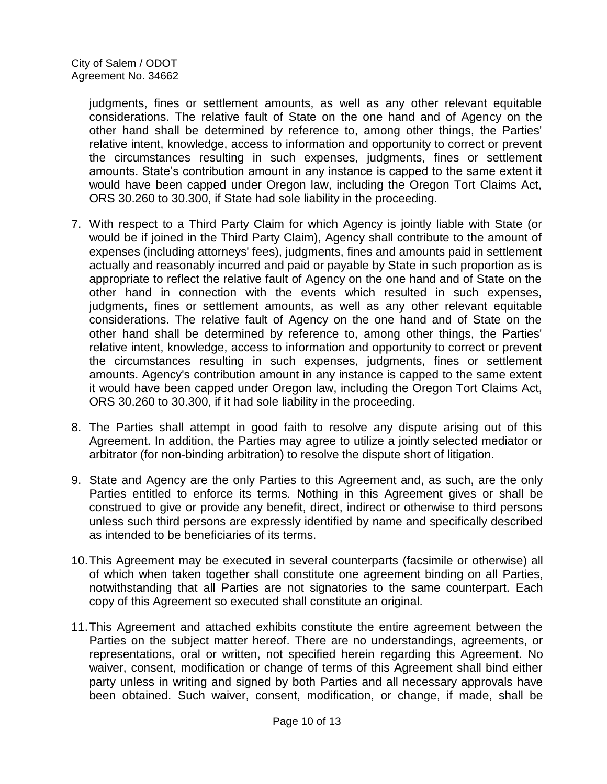judgments, fines or settlement amounts, as well as any other relevant equitable considerations. The relative fault of State on the one hand and of Agency on the other hand shall be determined by reference to, among other things, the Parties' relative intent, knowledge, access to information and opportunity to correct or prevent the circumstances resulting in such expenses, judgments, fines or settlement amounts. State's contribution amount in any instance is capped to the same extent it would have been capped under Oregon law, including the Oregon Tort Claims Act, ORS 30.260 to 30.300, if State had sole liability in the proceeding.

- 7. With respect to a Third Party Claim for which Agency is jointly liable with State (or would be if joined in the Third Party Claim), Agency shall contribute to the amount of expenses (including attorneys' fees), judgments, fines and amounts paid in settlement actually and reasonably incurred and paid or payable by State in such proportion as is appropriate to reflect the relative fault of Agency on the one hand and of State on the other hand in connection with the events which resulted in such expenses, judgments, fines or settlement amounts, as well as any other relevant equitable considerations. The relative fault of Agency on the one hand and of State on the other hand shall be determined by reference to, among other things, the Parties' relative intent, knowledge, access to information and opportunity to correct or prevent the circumstances resulting in such expenses, judgments, fines or settlement amounts. Agency's contribution amount in any instance is capped to the same extent it would have been capped under Oregon law, including the Oregon Tort Claims Act, ORS 30.260 to 30.300, if it had sole liability in the proceeding.
- 8. The Parties shall attempt in good faith to resolve any dispute arising out of this Agreement. In addition, the Parties may agree to utilize a jointly selected mediator or arbitrator (for non-binding arbitration) to resolve the dispute short of litigation.
- 9. State and Agency are the only Parties to this Agreement and, as such, are the only Parties entitled to enforce its terms. Nothing in this Agreement gives or shall be construed to give or provide any benefit, direct, indirect or otherwise to third persons unless such third persons are expressly identified by name and specifically described as intended to be beneficiaries of its terms.
- 10.This Agreement may be executed in several counterparts (facsimile or otherwise) all of which when taken together shall constitute one agreement binding on all Parties, notwithstanding that all Parties are not signatories to the same counterpart. Each copy of this Agreement so executed shall constitute an original.
- 11.This Agreement and attached exhibits constitute the entire agreement between the Parties on the subject matter hereof. There are no understandings, agreements, or representations, oral or written, not specified herein regarding this Agreement. No waiver, consent, modification or change of terms of this Agreement shall bind either party unless in writing and signed by both Parties and all necessary approvals have been obtained. Such waiver, consent, modification, or change, if made, shall be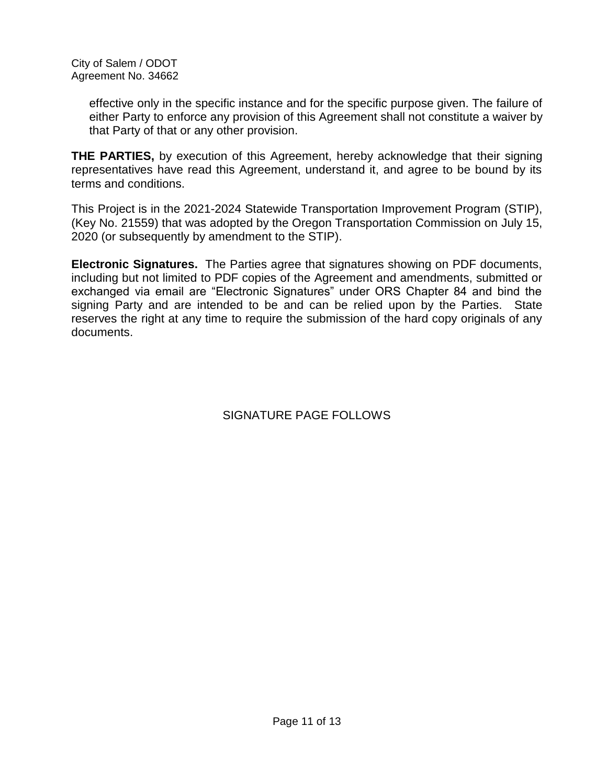effective only in the specific instance and for the specific purpose given. The failure of either Party to enforce any provision of this Agreement shall not constitute a waiver by that Party of that or any other provision.

**THE PARTIES,** by execution of this Agreement, hereby acknowledge that their signing representatives have read this Agreement, understand it, and agree to be bound by its terms and conditions.

This Project is in the 2021-2024 Statewide Transportation Improvement Program (STIP), (Key No. 21559) that was adopted by the Oregon Transportation Commission on July 15, 2020 (or subsequently by amendment to the STIP).

**Electronic Signatures.** The Parties agree that signatures showing on PDF documents, including but not limited to PDF copies of the Agreement and amendments, submitted or exchanged via email are "Electronic Signatures" under ORS Chapter 84 and bind the signing Party and are intended to be and can be relied upon by the Parties. State reserves the right at any time to require the submission of the hard copy originals of any documents.

# SIGNATURE PAGE FOLLOWS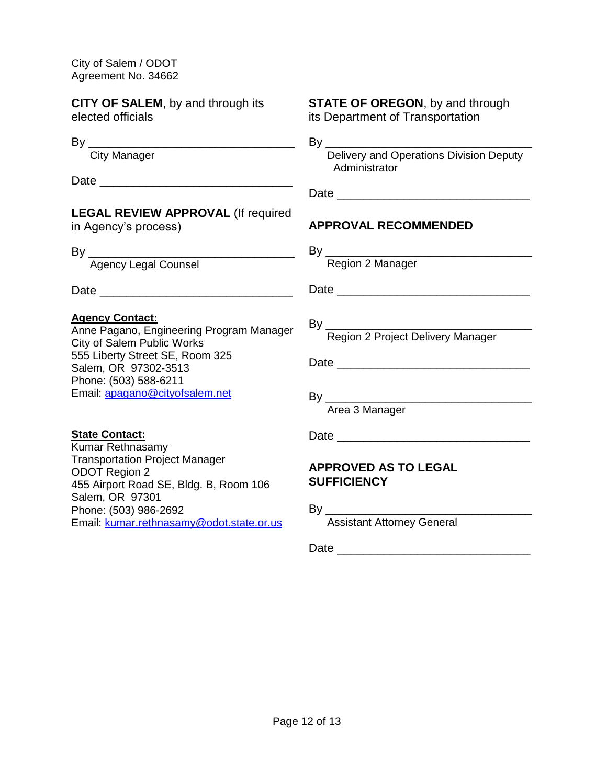**CITY OF SALEM**, by and through its elected officials

By \_\_\_\_\_\_\_\_\_\_\_\_\_\_\_\_\_\_\_\_\_\_\_\_\_\_\_\_\_\_\_

**City Manager** 

Date \_\_\_\_\_\_\_\_\_\_\_\_\_\_\_\_\_\_\_\_\_\_\_\_\_\_\_\_\_

## **LEGAL REVIEW APPROVAL** (If required

in Agency's process)

By \_\_\_\_\_\_\_\_\_\_\_\_\_\_\_\_\_\_\_\_\_\_\_\_\_\_\_\_\_\_\_

Agency Legal Counsel

 $Date$ 

#### **Agency Contact:**

Anne Pagano, Engineering Program Manager City of Salem Public Works 555 Liberty Street SE, Room 325 Salem, OR 97302-3513 Phone: (503) 588-6211 Email: [apagano@cityofsalem.net](mailto:apagano@cityofsalem.net)

#### **STATE OF OREGON**, by and through its Department of Transportation

By \_\_\_\_\_\_\_\_\_\_\_\_\_\_\_\_\_\_\_\_\_\_\_\_\_\_\_\_\_\_\_

 Delivery and Operations Division Deputy Administrator

 $Date$ 

## **APPROVAL RECOMMENDED**

 $By \_\_$ 

Region 2 Manager

Date \_\_\_\_\_\_\_\_\_\_\_\_\_\_\_\_\_\_\_\_\_\_\_\_\_\_\_\_\_

By \_\_\_\_\_\_\_\_\_\_\_\_\_\_\_\_\_\_\_\_\_\_\_\_\_\_\_\_\_\_\_ Region 2 Project Delivery Manager

Date \_\_\_\_\_\_\_\_\_\_\_\_\_\_\_\_\_\_\_\_\_\_\_\_\_\_\_\_\_

By \_\_\_\_\_\_\_\_\_\_\_\_\_\_\_\_\_\_\_\_\_\_\_\_\_\_\_\_\_\_\_

Area 3 Manager

#### **State Contact:**

Kumar Rethnasamy Transportation Project Manager ODOT Region 2 455 Airport Road SE, Bldg. B, Room 106 Salem, OR 97301 Phone: (503) 986-2692 Email: [kumar.rethnasamy@odot.state.or.us](mailto:kumar.rethnasamy@odot.state.or.us)

# Date \_\_\_\_\_\_\_\_\_\_\_\_\_\_\_\_\_\_\_\_\_\_\_\_\_\_\_\_\_

### **APPROVED AS TO LEGAL SUFFICIENCY**

By \_\_\_\_\_\_\_\_\_\_\_\_\_\_\_\_\_\_\_\_\_\_\_\_\_\_\_\_\_\_\_

Assistant Attorney General

Date \_\_\_\_\_\_\_\_\_\_\_\_\_\_\_\_\_\_\_\_\_\_\_\_\_\_\_\_\_